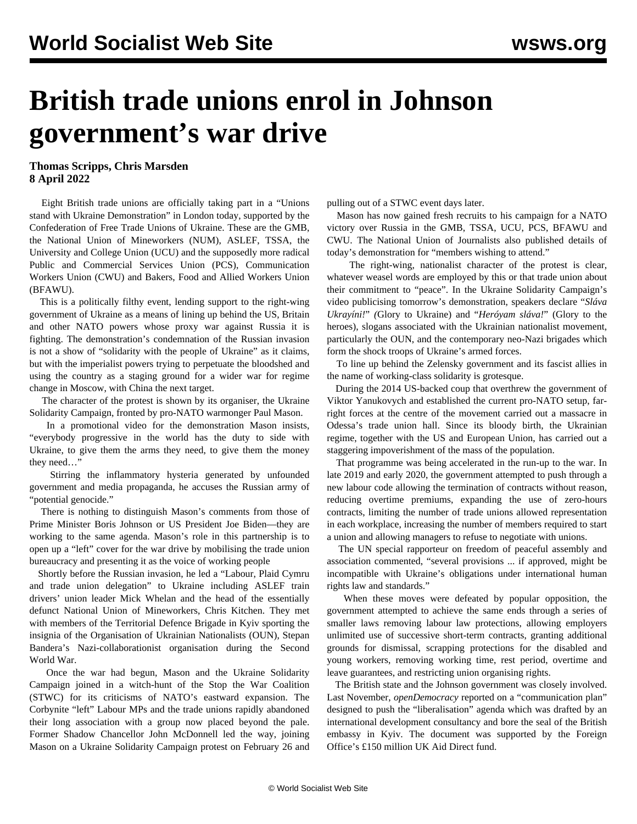## **British trade unions enrol in Johnson government's war drive**

## **Thomas Scripps, Chris Marsden 8 April 2022**

 Eight British trade unions are officially taking part in a "Unions stand with Ukraine Demonstration" in London today, supported by the Confederation of Free Trade Unions of Ukraine. These are the GMB, the National Union of Mineworkers (NUM), ASLEF, TSSA, the University and College Union (UCU) and the supposedly more radical Public and Commercial Services Union (PCS), Communication Workers Union (CWU) and Bakers, Food and Allied Workers Union (BFAWU).

 This is a politically filthy event, lending support to the right-wing government of Ukraine as a means of lining up behind the US, Britain and other NATO powers whose proxy war against Russia it is fighting. The demonstration's condemnation of the Russian invasion is not a show of "solidarity with the people of Ukraine" as it claims, but with the imperialist powers trying to perpetuate the bloodshed and using the country as a staging ground for a wider war for regime change in Moscow, with China the next target.

 The character of the protest is shown by its organiser, the Ukraine Solidarity Campaign, fronted by [pro-NATO warmonger Paul Mason](/en/articles/2022/03/29/nmwx-m29.html).

 In a promotional video for the demonstration Mason insists, "everybody progressive in the world has the duty to side with Ukraine, to give them the arms they need, to give them the money they need…"

 Stirring the inflammatory hysteria generated by unfounded government and media propaganda, he accuses the Russian army of "potential genocide."

 There is nothing to distinguish Mason's comments from those of Prime Minister Boris Johnson or US President Joe Biden—they are working to the same agenda. Mason's role in this partnership is to open up a "left" cover for the war drive by mobilising the trade union bureaucracy and presenting it as the voice of working people

 Shortly before the Russian invasion, he led a "Labour, Plaid Cymru and trade union delegation" to Ukraine including ASLEF train drivers' union leader Mick Whelan and the head of the essentially defunct National Union of Mineworkers, Chris Kitchen. They met with members of the Territorial Defence Brigade in Kyiv sporting the insignia of the Organisation of Ukrainian Nationalists (OUN), Stepan Bandera's Nazi-collaborationist organisation during the Second World War.

 Once the war had begun, Mason and the Ukraine Solidarity Campaign joined in a witch-hunt of the Stop the War Coalition (STWC) for its criticisms of NATO's eastward expansion. The Corbynite "left" Labour MPs and the trade unions rapidly abandoned their long association with a group now placed beyond the pale. Former Shadow Chancellor John McDonnell led the way, joining Mason on a Ukraine Solidarity Campaign protest on February 26 and

pulling out of a STWC event days later.

 Mason has now gained fresh recruits to his campaign for a NATO victory over Russia in the GMB, TSSA, UCU, PCS, BFAWU and CWU. The National Union of Journalists also published details of today's demonstration for "members wishing to attend."

 The right-wing, nationalist character of the protest is clear, whatever weasel words are employed by this or that trade union about their commitment to "peace". In the Ukraine Solidarity Campaign's video publicising tomorrow's demonstration, speakers declare "*Sláva Ukrayíni!*" *(*Glory to Ukraine) and "*Heróyam sláva!*" (Glory to the heroes), slogans associated with the Ukrainian nationalist movement, particularly the OUN, and the contemporary neo-Nazi brigades which form the shock troops of Ukraine's armed forces.

 To line up behind the Zelensky government and its fascist allies in the name of working-class solidarity is grotesque.

 During the 2014 US-backed coup that overthrew the government of Viktor Yanukovych and established the current pro-NATO setup, farright forces at the centre of the movement carried out a massacre in Odessa's trade union hall. Since its bloody birth, the Ukrainian regime, together with the US and European Union, has carried out a staggering [impoverishment](/en/articles/2022/03/23/921f-m23.html) of the mass of the population.

 That programme was being accelerated in the run-up to the war. In late 2019 and early 2020, the government attempted to push through a new labour code allowing the termination of contracts without reason, reducing overtime premiums, expanding the use of zero-hours contracts, limiting the number of trade unions allowed representation in each workplace, increasing the number of members required to start a union and allowing managers to refuse to negotiate with unions.

 The UN special rapporteur on freedom of peaceful assembly and association commented, "several provisions ... if approved, might be incompatible with Ukraine's obligations under international human rights law and standards."

 When these moves were defeated by popular opposition, the government attempted to achieve the same ends through a series of smaller laws removing labour law protections, allowing employers unlimited use of successive short-term contracts, granting additional grounds for dismissal, scrapping protections for the disabled and young workers, removing working time, rest period, overtime and leave guarantees, and restricting union organising rights.

 The British state and the Johnson government was closely involved. Last November, *openDemocracy* reported on a "communication plan" designed to push the "liberalisation" agenda which was drafted by an international development consultancy and bore the seal of the British embassy in Kyiv. The document was supported by the Foreign Office's £150 million UK Aid Direct fund.